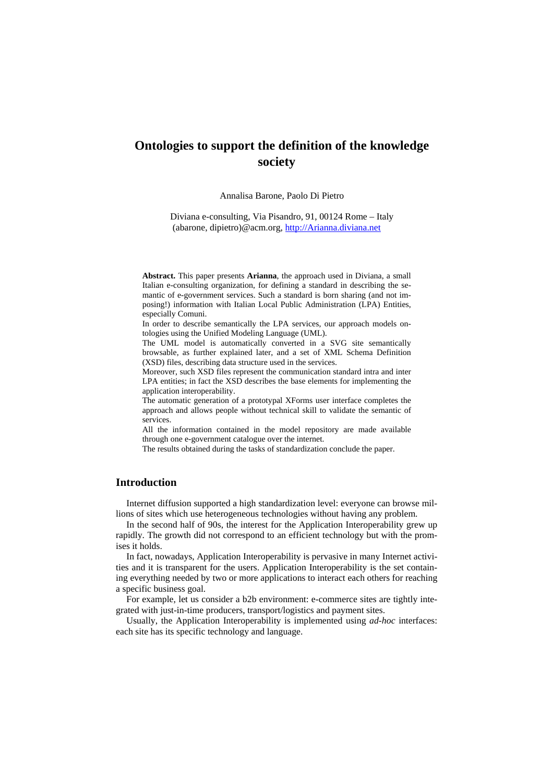# **Ontologies to support the definition of the knowledge society**

#### Annalisa Barone, Paolo Di Pietro

Diviana e-consulting, Via Pisandro, 91, 00124 Rome – Italy (abarone, dipietro)@acm.org, http://Arianna.diviana.net

**Abstract.** This paper presents **Arianna**, the approach used in Diviana, a small Italian e-consulting organization, for defining a standard in describing the semantic of e-government services. Such a standard is born sharing (and not imposing!) information with Italian Local Public Administration (LPA) Entities, especially Comuni.

In order to describe semantically the LPA services, our approach models ontologies using the Unified Modeling Language (UML).

The UML model is automatically converted in a SVG site semantically browsable, as further explained later, and a set of XML Schema Definition (XSD) files, describing data structure used in the services.

Moreover, such XSD files represent the communication standard intra and inter LPA entities; in fact the XSD describes the base elements for implementing the application interoperability.

The automatic generation of a prototypal XForms user interface completes the approach and allows people without technical skill to validate the semantic of services.

All the information contained in the model repository are made available through one e-government catalogue over the internet.

The results obtained during the tasks of standardization conclude the paper.

# **Introduction**

Internet diffusion supported a high standardization level: everyone can browse millions of sites which use heterogeneous technologies without having any problem.

In the second half of 90s, the interest for the Application Interoperability grew up rapidly. The growth did not correspond to an efficient technology but with the promises it holds.

In fact, nowadays, Application Interoperability is pervasive in many Internet activities and it is transparent for the users. Application Interoperability is the set containing everything needed by two or more applications to interact each others for reaching a specific business goal.

For example, let us consider a b2b environment: e-commerce sites are tightly integrated with just-in-time producers, transport/logistics and payment sites.

Usually, the Application Interoperability is implemented using *ad-hoc* interfaces: each site has its specific technology and language.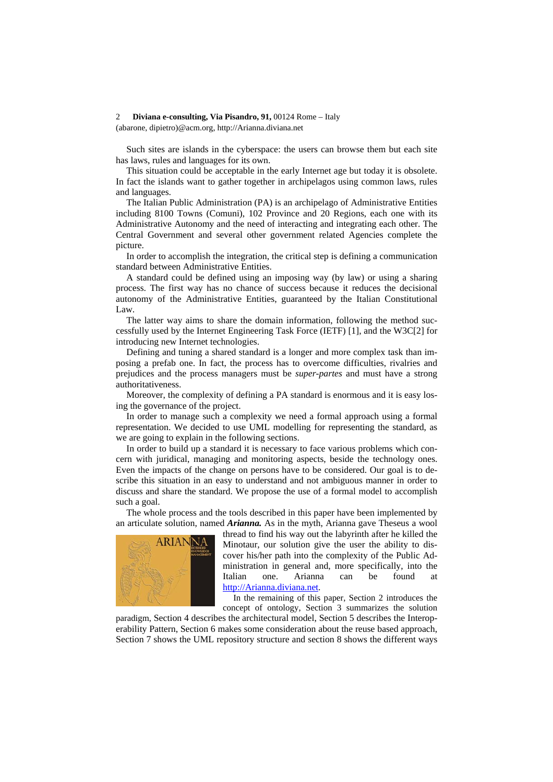#### 2 **Diviana e-consulting, Via Pisandro, 91,** 00124 Rome – Italy

(abarone, dipietro)@acm.org, http://Arianna.diviana.net

Such sites are islands in the cyberspace: the users can browse them but each site has laws, rules and languages for its own.

This situation could be acceptable in the early Internet age but today it is obsolete. In fact the islands want to gather together in archipelagos using common laws, rules and languages.

The Italian Public Administration (PA) is an archipelago of Administrative Entities including 8100 Towns (Comuni), 102 Province and 20 Regions, each one with its Administrative Autonomy and the need of interacting and integrating each other. The Central Government and several other government related Agencies complete the picture.

In order to accomplish the integration, the critical step is defining a communication standard between Administrative Entities.

A standard could be defined using an imposing way (by law) or using a sharing process. The first way has no chance of success because it reduces the decisional autonomy of the Administrative Entities, guaranteed by the Italian Constitutional Law.

The latter way aims to share the domain information, following the method successfully used by the Internet Engineering Task Force (IETF) [1], and the W3C[2] for introducing new Internet technologies.

Defining and tuning a shared standard is a longer and more complex task than imposing a prefab one. In fact, the process has to overcome difficulties, rivalries and prejudices and the process managers must be *super-partes* and must have a strong authoritativeness.

Moreover, the complexity of defining a PA standard is enormous and it is easy losing the governance of the project.

In order to manage such a complexity we need a formal approach using a formal representation. We decided to use UML modelling for representing the standard, as we are going to explain in the following sections.

In order to build up a standard it is necessary to face various problems which concern with juridical, managing and monitoring aspects, beside the technology ones. Even the impacts of the change on persons have to be considered. Our goal is to describe this situation in an easy to understand and not ambiguous manner in order to discuss and share the standard. We propose the use of a formal model to accomplish such a goal.

The whole process and the tools described in this paper have been implemented by an articulate solution, named *Arianna.* As in the myth, Arianna gave Theseus a wool



thread to find his way out the labyrinth after he killed the Minotaur, our solution give the user the ability to discover his/her path into the complexity of the Public Administration in general and, more specifically, into the Italian one. Arianna can be found at http://Arianna.diviana.net.

In the remaining of this paper, Section 2 introduces the concept of ontology, Section 3 summarizes the solution

paradigm, Section 4 describes the architectural model, Section 5 describes the Interoperability Pattern, Section 6 makes some consideration about the reuse based approach, Section 7 shows the UML repository structure and section 8 shows the different ways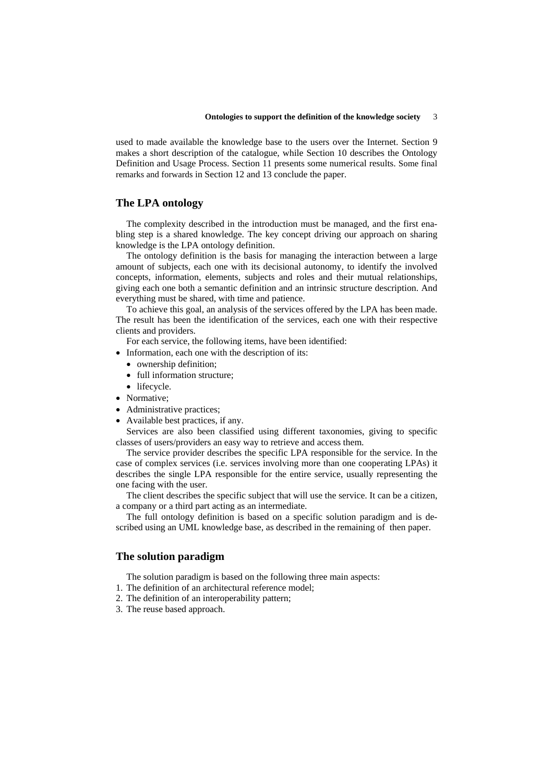used to made available the knowledge base to the users over the Internet. Section 9 makes a short description of the catalogue, while Section 10 describes the Ontology Definition and Usage Process. Section 11 presents some numerical results. Some final remarks and forwards in Section 12 and 13 conclude the paper.

#### **The LPA ontology**

The complexity described in the introduction must be managed, and the first enabling step is a shared knowledge. The key concept driving our approach on sharing knowledge is the LPA ontology definition.

The ontology definition is the basis for managing the interaction between a large amount of subjects, each one with its decisional autonomy, to identify the involved concepts, information, elements, subjects and roles and their mutual relationships, giving each one both a semantic definition and an intrinsic structure description. And everything must be shared, with time and patience.

To achieve this goal, an analysis of the services offered by the LPA has been made. The result has been the identification of the services, each one with their respective clients and providers.

For each service, the following items, have been identified:

- Information, each one with the description of its:
	- ownership definition;
	- full information structure:
	- lifecycle.
- Normative;
- Administrative practices;
- Available best practices, if any.

Services are also been classified using different taxonomies, giving to specific classes of users/providers an easy way to retrieve and access them.

The service provider describes the specific LPA responsible for the service. In the case of complex services (i.e. services involving more than one cooperating LPAs) it describes the single LPA responsible for the entire service, usually representing the one facing with the user.

The client describes the specific subject that will use the service. It can be a citizen, a company or a third part acting as an intermediate.

The full ontology definition is based on a specific solution paradigm and is described using an UML knowledge base, as described in the remaining of then paper.

# **The solution paradigm**

The solution paradigm is based on the following three main aspects:

- 1. The definition of an architectural reference model;
- 2. The definition of an interoperability pattern;
- 3. The reuse based approach.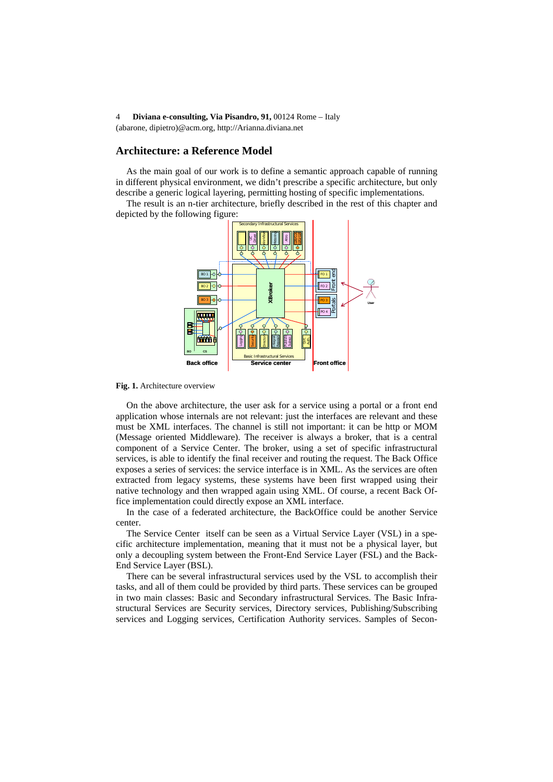#### **Architecture: a Reference Model**

As the main goal of our work is to define a semantic approach capable of running in different physical environment, we didn't prescribe a specific architecture, but only describe a generic logical layering, permitting hosting of specific implementations.

The result is an n-tier architecture, briefly described in the rest of this chapter and depicted by the following figure:



**Fig. 1.** Architecture overview

On the above architecture, the user ask for a service using a portal or a front end application whose internals are not relevant: just the interfaces are relevant and these must be XML interfaces. The channel is still not important: it can be http or MOM (Message oriented Middleware). The receiver is always a broker, that is a central component of a Service Center. The broker, using a set of specific infrastructural services, is able to identify the final receiver and routing the request. The Back Office exposes a series of services: the service interface is in XML. As the services are often extracted from legacy systems, these systems have been first wrapped using their native technology and then wrapped again using XML. Of course, a recent Back Office implementation could directly expose an XML interface.

In the case of a federated architecture, the BackOffice could be another Service center.

The Service Center itself can be seen as a Virtual Service Layer (VSL) in a specific architecture implementation, meaning that it must not be a physical layer, but only a decoupling system between the Front-End Service Layer (FSL) and the Back-End Service Layer (BSL).

There can be several infrastructural services used by the VSL to accomplish their tasks, and all of them could be provided by third parts. These services can be grouped in two main classes: Basic and Secondary infrastructural Services. The Basic Infrastructural Services are Security services, Directory services, Publishing/Subscribing services and Logging services, Certification Authority services. Samples of Secon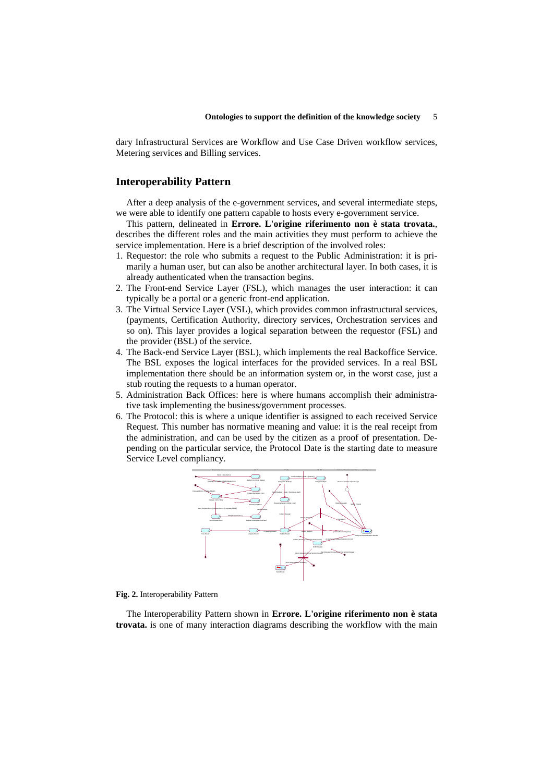dary Infrastructural Services are Workflow and Use Case Driven workflow services, Metering services and Billing services.

#### **Interoperability Pattern**

After a deep analysis of the e-government services, and several intermediate steps, we were able to identify one pattern capable to hosts every e-government service.

This pattern, delineated in **Errore. L'origine riferimento non è stata trovata.**, describes the different roles and the main activities they must perform to achieve the service implementation. Here is a brief description of the involved roles:

- 1. Requestor: the role who submits a request to the Public Administration: it is primarily a human user, but can also be another architectural layer. In both cases, it is already authenticated when the transaction begins.
- 2. The Front-end Service Layer (FSL), which manages the user interaction: it can typically be a portal or a generic front-end application.
- 3. The Virtual Service Layer (VSL), which provides common infrastructural services, (payments, Certification Authority, directory services, Orchestration services and so on). This layer provides a logical separation between the requestor (FSL) and the provider (BSL) of the service.
- 4. The Back-end Service Layer (BSL), which implements the real Backoffice Service. The BSL exposes the logical interfaces for the provided services. In a real BSL implementation there should be an information system or, in the worst case, just a stub routing the requests to a human operator.
- 5. Administration Back Offices: here is where humans accomplish their administrative task implementing the business/government processes.
- 6. The Protocol: this is where a unique identifier is assigned to each received Service Request. This number has normative meaning and value: it is the real receipt from the administration, and can be used by the citizen as a proof of presentation. Depending on the particular service, the Protocol Date is the starting date to measure Service Level compliancy.



**Fig. 2.** Interoperability Pattern

The Interoperability Pattern shown in **Errore. L'origine riferimento non è stata trovata.** is one of many interaction diagrams describing the workflow with the main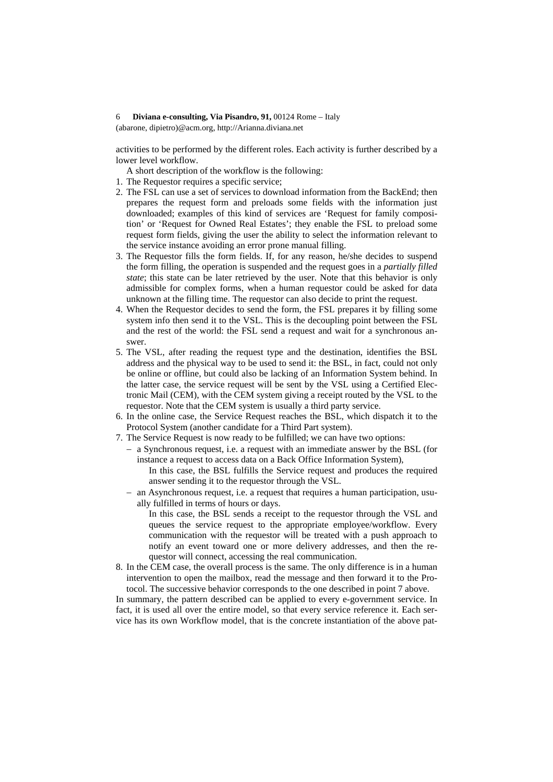#### 6 **Diviana e-consulting, Via Pisandro, 91,** 00124 Rome – Italy

(abarone, dipietro)@acm.org, http://Arianna.diviana.net

activities to be performed by the different roles. Each activity is further described by a lower level workflow.

A short description of the workflow is the following:

- 1. The Requestor requires a specific service;
- 2. The FSL can use a set of services to download information from the BackEnd; then prepares the request form and preloads some fields with the information just downloaded; examples of this kind of services are 'Request for family composition' or 'Request for Owned Real Estates'; they enable the FSL to preload some request form fields, giving the user the ability to select the information relevant to the service instance avoiding an error prone manual filling.
- 3. The Requestor fills the form fields. If, for any reason, he/she decides to suspend the form filling, the operation is suspended and the request goes in a *partially filled state*; this state can be later retrieved by the user. Note that this behavior is only admissible for complex forms, when a human requestor could be asked for data unknown at the filling time. The requestor can also decide to print the request.
- 4. When the Requestor decides to send the form, the FSL prepares it by filling some system info then send it to the VSL. This is the decoupling point between the FSL and the rest of the world: the FSL send a request and wait for a synchronous answer.
- 5. The VSL, after reading the request type and the destination, identifies the BSL address and the physical way to be used to send it: the BSL, in fact, could not only be online or offline, but could also be lacking of an Information System behind. In the latter case, the service request will be sent by the VSL using a Certified Electronic Mail (CEM), with the CEM system giving a receipt routed by the VSL to the requestor. Note that the CEM system is usually a third party service.
- 6. In the online case, the Service Request reaches the BSL, which dispatch it to the Protocol System (another candidate for a Third Part system).
- 7. The Service Request is now ready to be fulfilled; we can have two options:
	- − a Synchronous request, i.e. a request with an immediate answer by the BSL (for instance a request to access data on a Back Office Information System),
		- In this case, the BSL fulfills the Service request and produces the required answer sending it to the requestor through the VSL.
	- − an Asynchronous request, i.e. a request that requires a human participation, usually fulfilled in terms of hours or days.
		- In this case, the BSL sends a receipt to the requestor through the VSL and queues the service request to the appropriate employee/workflow. Every communication with the requestor will be treated with a push approach to notify an event toward one or more delivery addresses, and then the requestor will connect, accessing the real communication.
- 8. In the CEM case, the overall process is the same. The only difference is in a human intervention to open the mailbox, read the message and then forward it to the Protocol. The successive behavior corresponds to the one described in point 7 above.

In summary, the pattern described can be applied to every e-government service. In fact, it is used all over the entire model, so that every service reference it. Each service has its own Workflow model, that is the concrete instantiation of the above pat-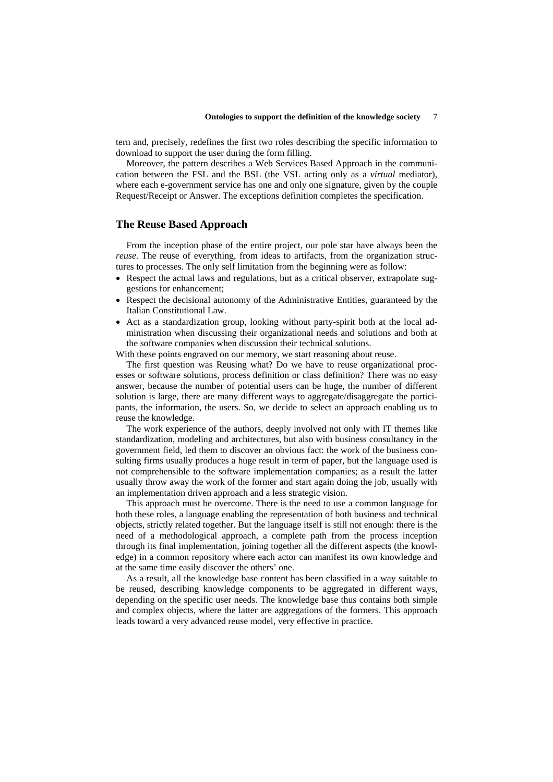tern and, precisely, redefines the first two roles describing the specific information to download to support the user during the form filling.

Moreover, the pattern describes a Web Services Based Approach in the communication between the FSL and the BSL (the VSL acting only as a *virtual* mediator), where each e-government service has one and only one signature, given by the couple Request/Receipt or Answer. The exceptions definition completes the specification.

#### **The Reuse Based Approach**

From the inception phase of the entire project, our pole star have always been the *reuse*. The reuse of everything, from ideas to artifacts, from the organization structures to processes. The only self limitation from the beginning were as follow:

- Respect the actual laws and regulations, but as a critical observer, extrapolate suggestions for enhancement;
- Respect the decisional autonomy of the Administrative Entities, guaranteed by the Italian Constitutional Law.
- Act as a standardization group, looking without party-spirit both at the local administration when discussing their organizational needs and solutions and both at the software companies when discussion their technical solutions.

With these points engraved on our memory, we start reasoning about reuse.

The first question was Reusing what? Do we have to reuse organizational processes or software solutions, process definition or class definition? There was no easy answer, because the number of potential users can be huge, the number of different solution is large, there are many different ways to aggregate/disaggregate the participants, the information, the users. So, we decide to select an approach enabling us to reuse the knowledge.

The work experience of the authors, deeply involved not only with IT themes like standardization, modeling and architectures, but also with business consultancy in the government field, led them to discover an obvious fact: the work of the business consulting firms usually produces a huge result in term of paper, but the language used is not comprehensible to the software implementation companies; as a result the latter usually throw away the work of the former and start again doing the job, usually with an implementation driven approach and a less strategic vision.

This approach must be overcome. There is the need to use a common language for both these roles, a language enabling the representation of both business and technical objects, strictly related together. But the language itself is still not enough: there is the need of a methodological approach, a complete path from the process inception through its final implementation, joining together all the different aspects (the knowledge) in a common repository where each actor can manifest its own knowledge and at the same time easily discover the others' one.

As a result, all the knowledge base content has been classified in a way suitable to be reused, describing knowledge components to be aggregated in different ways, depending on the specific user needs. The knowledge base thus contains both simple and complex objects, where the latter are aggregations of the formers. This approach leads toward a very advanced reuse model, very effective in practice.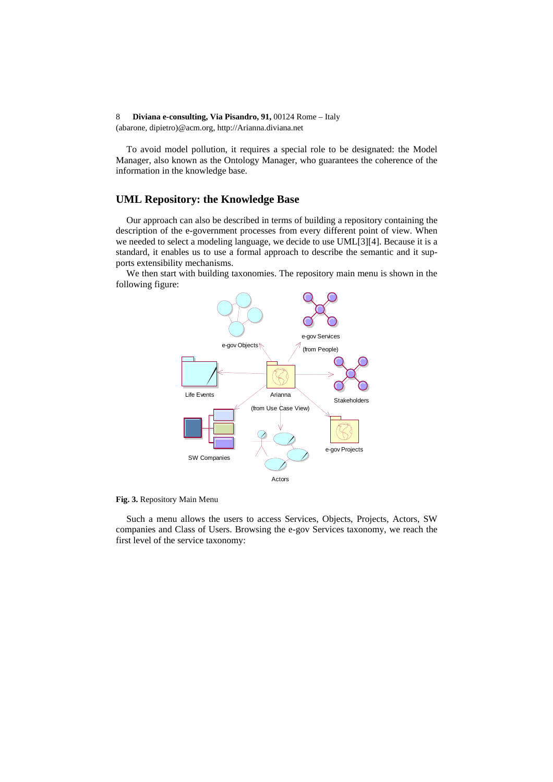To avoid model pollution, it requires a special role to be designated: the Model Manager, also known as the Ontology Manager, who guarantees the coherence of the information in the knowledge base.

### **UML Repository: the Knowledge Base**

Our approach can also be described in terms of building a repository containing the description of the e-government processes from every different point of view. When we needed to select a modeling language, we decide to use UML[3][4]. Because it is a standard, it enables us to use a formal approach to describe the semantic and it supports extensibility mechanisms.

We then start with building taxonomies. The repository main menu is shown in the following figure:



**Fig. 3.** Repository Main Menu

Such a menu allows the users to access Services, Objects, Projects, Actors, SW companies and Class of Users. Browsing the e-gov Services taxonomy, we reach the first level of the service taxonomy: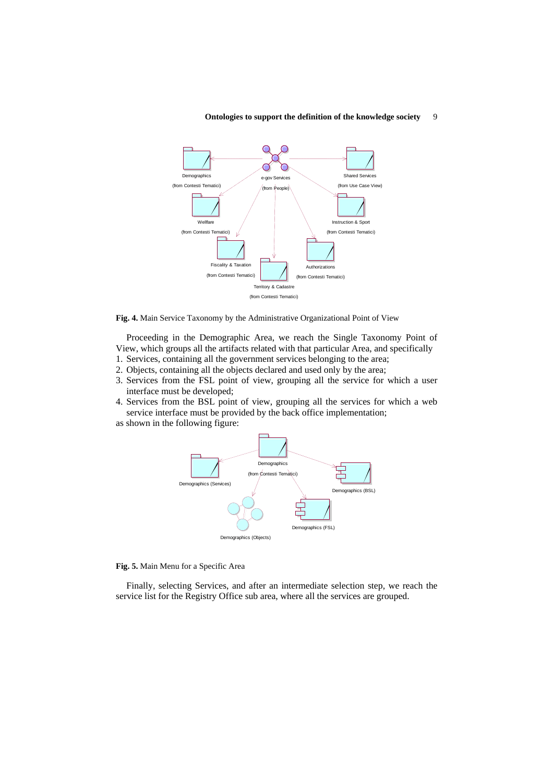

#### **Ontologies to support the definition of the knowledge society** 9

**Fig. 4.** Main Service Taxonomy by the Administrative Organizational Point of View

Proceeding in the Demographic Area, we reach the Single Taxonomy Point of View, which groups all the artifacts related with that particular Area, and specifically

- 1. Services, containing all the government services belonging to the area;
- 2. Objects, containing all the objects declared and used only by the area;
- 3. Services from the FSL point of view, grouping all the service for which a user interface must be developed;
- 4. Services from the BSL point of view, grouping all the services for which a web service interface must be provided by the back office implementation;
- as shown in the following figure:



#### **Fig. 5.** Main Menu for a Specific Area

Finally, selecting Services, and after an intermediate selection step, we reach the service list for the Registry Office sub area, where all the services are grouped.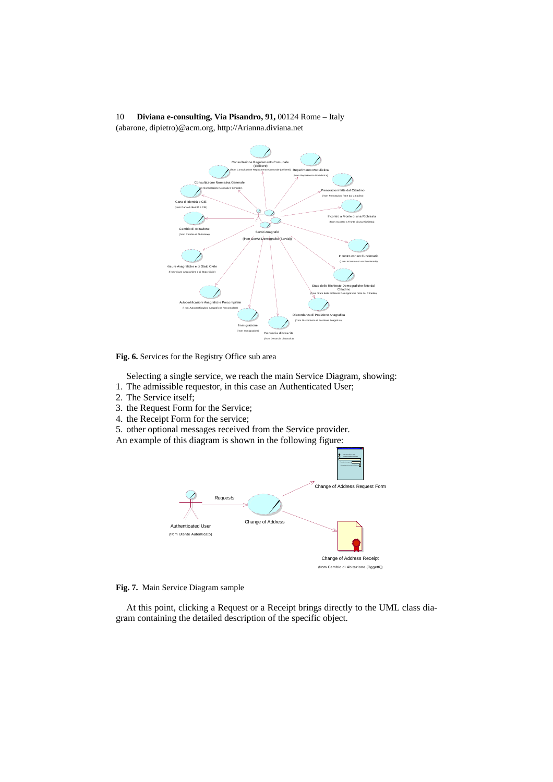

**Fig. 6.** Services for the Registry Office sub area

Selecting a single service, we reach the main Service Diagram, showing: 1. The admissible requestor, in this case an Authenticated User;

- 2. The Service itself;
- 3. the Request Form for the Service;
- 4. the Receipt Form for the service;

5. other optional messages received from the Service provider.

An example of this diagram is shown in the following figure:



#### **Fig. 7.** Main Service Diagram sample

At this point, clicking a Request or a Receipt brings directly to the UML class diagram containing the detailed description of the specific object.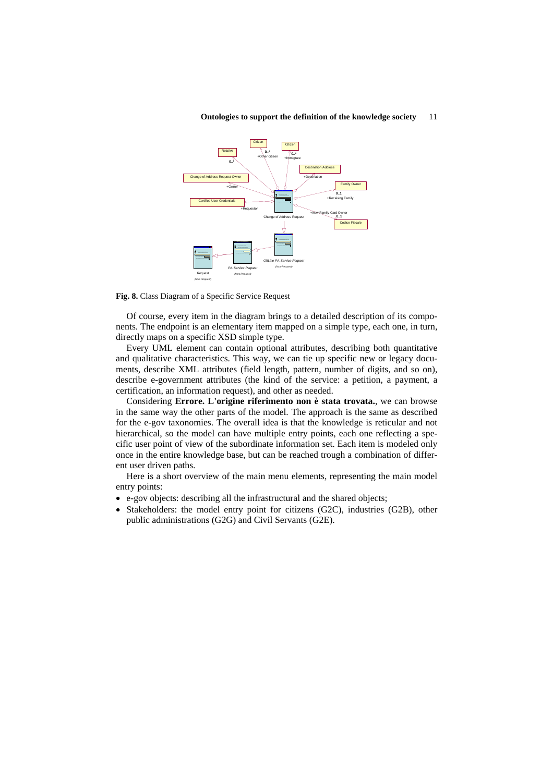

#### **Ontologies to support the definition of the knowledge society** 11

**Fig. 8.** Class Diagram of a Specific Service Request

Of course, every item in the diagram brings to a detailed description of its components. The endpoint is an elementary item mapped on a simple type, each one, in turn, directly maps on a specific XSD simple type.

Every UML element can contain optional attributes, describing both quantitative and qualitative characteristics. This way, we can tie up specific new or legacy documents, describe XML attributes (field length, pattern, number of digits, and so on), describe e-government attributes (the kind of the service: a petition, a payment, a certification, an information request), and other as needed.

Considering **Errore. L'origine riferimento non è stata trovata.**, we can browse in the same way the other parts of the model. The approach is the same as described for the e-gov taxonomies. The overall idea is that the knowledge is reticular and not hierarchical, so the model can have multiple entry points, each one reflecting a specific user point of view of the subordinate information set. Each item is modeled only once in the entire knowledge base, but can be reached trough a combination of different user driven paths.

Here is a short overview of the main menu elements, representing the main model entry points:

- e-gov objects: describing all the infrastructural and the shared objects;
- Stakeholders: the model entry point for citizens (G2C), industries (G2B), other public administrations (G2G) and Civil Servants (G2E).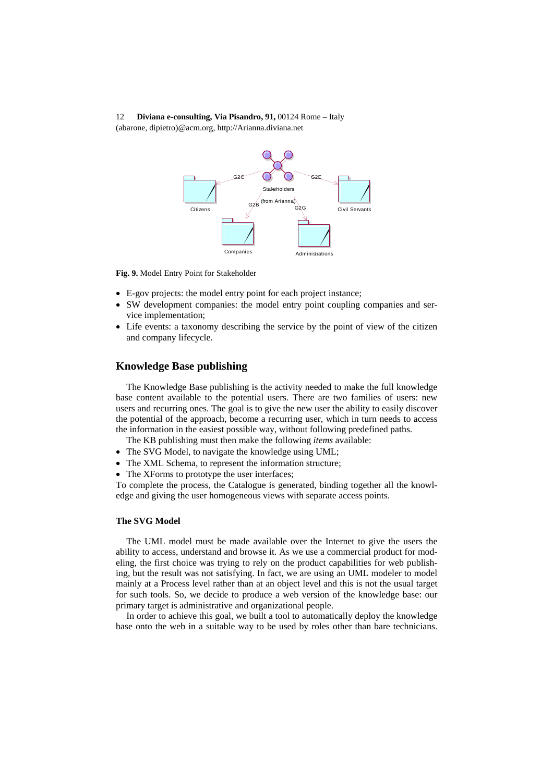

**Fig. 9.** Model Entry Point for Stakeholder

- E-gov projects: the model entry point for each project instance;
- SW development companies: the model entry point coupling companies and service implementation;
- Life events: a taxonomy describing the service by the point of view of the citizen and company lifecycle.

### **Knowledge Base publishing**

The Knowledge Base publishing is the activity needed to make the full knowledge base content available to the potential users. There are two families of users: new users and recurring ones. The goal is to give the new user the ability to easily discover the potential of the approach, become a recurring user, which in turn needs to access the information in the easiest possible way, without following predefined paths.

The KB publishing must then make the following *items* available:

- The SVG Model, to navigate the knowledge using UML;
- The XML Schema, to represent the information structure;
- The XForms to prototype the user interfaces;

To complete the process, the Catalogue is generated, binding together all the knowledge and giving the user homogeneous views with separate access points.

#### **The SVG Model**

The UML model must be made available over the Internet to give the users the ability to access, understand and browse it. As we use a commercial product for modeling, the first choice was trying to rely on the product capabilities for web publishing, but the result was not satisfying. In fact, we are using an UML modeler to model mainly at a Process level rather than at an object level and this is not the usual target for such tools. So, we decide to produce a web version of the knowledge base: our primary target is administrative and organizational people.

In order to achieve this goal, we built a tool to automatically deploy the knowledge base onto the web in a suitable way to be used by roles other than bare technicians.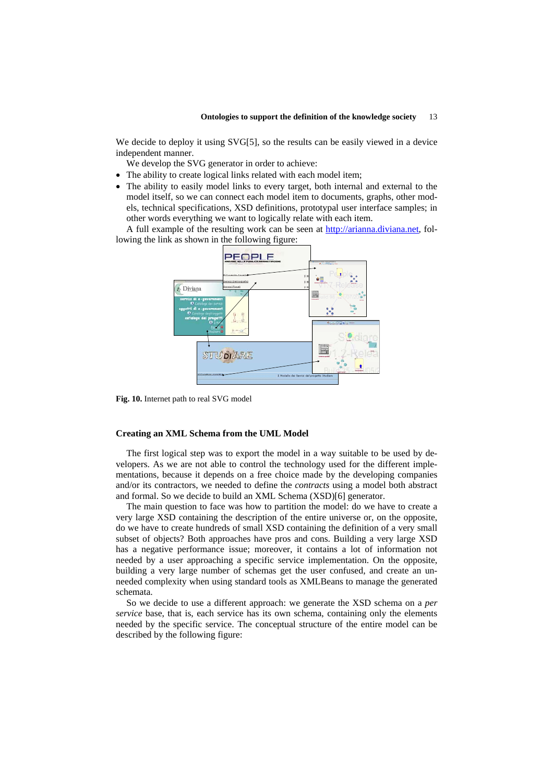We decide to deploy it using SVG[5], so the results can be easily viewed in a device independent manner.

We develop the SVG generator in order to achieve:

- The ability to create logical links related with each model item;
- The ability to easily model links to every target, both internal and external to the model itself, so we can connect each model item to documents, graphs, other models, technical specifications, XSD definitions, prototypal user interface samples; in other words everything we want to logically relate with each item.

A full example of the resulting work can be seen at http://arianna.diviana.net, following the link as shown in the following figure:



**Fig. 10.** Internet path to real SVG model

#### **Creating an XML Schema from the UML Model**

The first logical step was to export the model in a way suitable to be used by developers. As we are not able to control the technology used for the different implementations, because it depends on a free choice made by the developing companies and/or its contractors, we needed to define the *contracts* using a model both abstract and formal. So we decide to build an XML Schema (XSD)[6] generator.

The main question to face was how to partition the model: do we have to create a very large XSD containing the description of the entire universe or, on the opposite, do we have to create hundreds of small XSD containing the definition of a very small subset of objects? Both approaches have pros and cons. Building a very large XSD has a negative performance issue; moreover, it contains a lot of information not needed by a user approaching a specific service implementation. On the opposite, building a very large number of schemas get the user confused, and create an unneeded complexity when using standard tools as XMLBeans to manage the generated schemata.

So we decide to use a different approach: we generate the XSD schema on a *per service* base, that is, each service has its own schema, containing only the elements needed by the specific service. The conceptual structure of the entire model can be described by the following figure: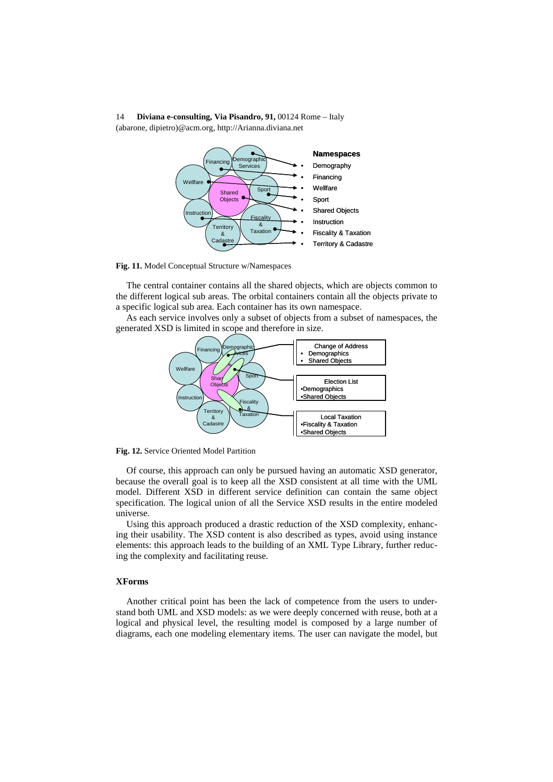

**Fig. 11.** Model Conceptual Structure w/Namespaces

The central container contains all the shared objects, which are objects common to the different logical sub areas. The orbital containers contain all the objects private to a specific logical sub area. Each container has its own namespace.

As each service involves only a subset of objects from a subset of namespaces, the generated XSD is limited in scope and therefore in size.



**Fig. 12.** Service Oriented Model Partition

Of course, this approach can only be pursued having an automatic XSD generator, because the overall goal is to keep all the XSD consistent at all time with the UML model. Different XSD in different service definition can contain the same object specification. The logical union of all the Service XSD results in the entire modeled universe.

Using this approach produced a drastic reduction of the XSD complexity, enhancing their usability. The XSD content is also described as types, avoid using instance elements: this approach leads to the building of an XML Type Library, further reducing the complexity and facilitating reuse.

#### **XForms**

Another critical point has been the lack of competence from the users to understand both UML and XSD models: as we were deeply concerned with reuse, both at a logical and physical level, the resulting model is composed by a large number of diagrams, each one modeling elementary items. The user can navigate the model, but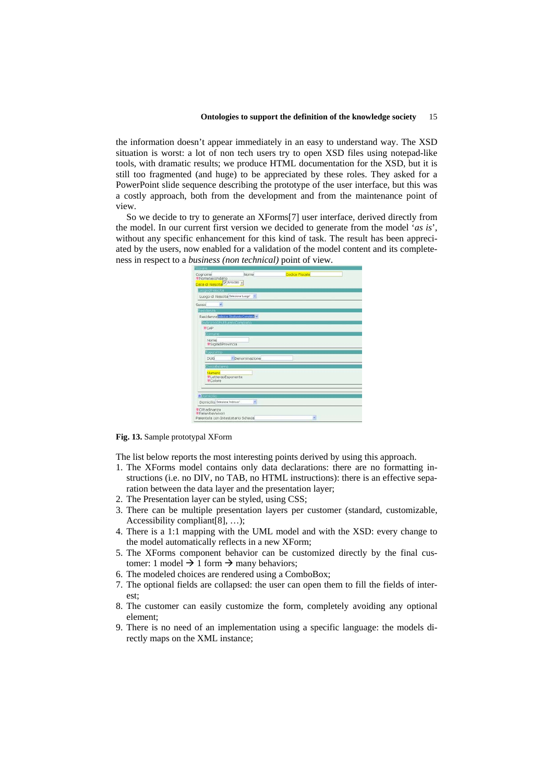the information doesn't appear immediately in an easy to understand way. The XSD situation is worst: a lot of non tech users try to open XSD files using notepad-like tools, with dramatic results; we produce HTML documentation for the XSD, but it is still too fragmented (and huge) to be appreciated by these roles. They asked for a PowerPoint slide sequence describing the prototype of the user interface, but this was a costly approach, both from the development and from the maintenance point of view.

So we decide to try to generate an XForms[7] user interface, derived directly from the model. In our current first version we decided to generate from the model '*as is*', without any specific enhancement for this kind of task. The result has been appreciated by the users, now enabled for a validation of the model content and its completeness in respect to a *business (non technical)* point of view.

| Nome<br>Cognome<br><i>*NomeSecondario</i> | Codice Fiscale |  |
|-------------------------------------------|----------------|--|
| Data di Nascita Visitorino -              |                |  |
| spoodiNascita                             |                |  |
| Luogo di Nascita Seleziona Luogo" >       |                |  |
| ×.<br>Sesso                               |                |  |
| Residenza                                 |                |  |
| Residenza Mezzo Stuttunts Consulta        |                |  |
| indirizzo5trutturatoCompleto              |                |  |
| <b>WCAP</b>                               |                |  |
| Comune                                    |                |  |
| Nome<br>·SigladiProvincia                 |                |  |
| <b>Toponimo</b>                           |                |  |
| <b>DUG</b><br>* Denominazione             |                |  |
| CivicoEsterno                             |                |  |
| Numero<br>#LetteracEsponente<br>Colore    |                |  |
|                                           |                |  |
| $\triangle$ Somicilio                     |                |  |
| Domicilio Seleziona Indirazo"<br>ч        |                |  |
| Cittadinanza<br>*PatentieVeicoli          |                |  |
| Parentela con Intestatario Scheda         | v              |  |

**Fig. 13.** Sample prototypal XForm

The list below reports the most interesting points derived by using this approach.

- 1. The XForms model contains only data declarations: there are no formatting instructions (i.e. no DIV, no TAB, no HTML instructions): there is an effective separation between the data layer and the presentation layer;
- 2. The Presentation layer can be styled, using CSS;
- 3. There can be multiple presentation layers per customer (standard, customizable, Accessibility compliant[8], …);
- 4. There is a 1:1 mapping with the UML model and with the XSD: every change to the model automatically reflects in a new XForm;
- 5. The XForms component behavior can be customized directly by the final customer: 1 model  $\rightarrow$  1 form  $\rightarrow$  many behaviors;
- 6. The modeled choices are rendered using a ComboBox;
- 7. The optional fields are collapsed: the user can open them to fill the fields of interest;
- 8. The customer can easily customize the form, completely avoiding any optional element;
- 9. There is no need of an implementation using a specific language: the models directly maps on the XML instance;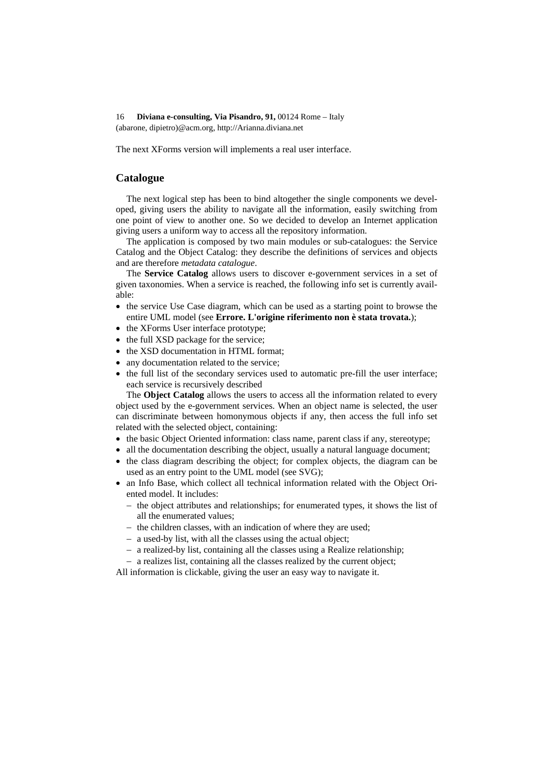The next XForms version will implements a real user interface.

# **Catalogue**

The next logical step has been to bind altogether the single components we developed, giving users the ability to navigate all the information, easily switching from one point of view to another one. So we decided to develop an Internet application giving users a uniform way to access all the repository information.

The application is composed by two main modules or sub-catalogues: the Service Catalog and the Object Catalog: they describe the definitions of services and objects and are therefore *metadata catalogue*.

The **Service Catalog** allows users to discover e-government services in a set of given taxonomies. When a service is reached, the following info set is currently available:

- the service Use Case diagram, which can be used as a starting point to browse the entire UML model (see **Errore. L'origine riferimento non è stata trovata.**);
- the XForms User interface prototype;
- the full XSD package for the service;
- the XSD documentation in HTML format;
- any documentation related to the service:
- the full list of the secondary services used to automatic pre-fill the user interface; each service is recursively described

The **Object Catalog** allows the users to access all the information related to every object used by the e-government services. When an object name is selected, the user can discriminate between homonymous objects if any, then access the full info set related with the selected object, containing:

- the basic Object Oriented information: class name, parent class if any, stereotype;
- all the documentation describing the object, usually a natural language document;
- the class diagram describing the object; for complex objects, the diagram can be used as an entry point to the UML model (see SVG);
- an Info Base, which collect all technical information related with the Object Oriented model. It includes:
	- − the object attributes and relationships; for enumerated types, it shows the list of all the enumerated values;
	- − the children classes, with an indication of where they are used;
	- − a used-by list, with all the classes using the actual object;
	- − a realized-by list, containing all the classes using a Realize relationship;
	- − a realizes list, containing all the classes realized by the current object;

All information is clickable, giving the user an easy way to navigate it.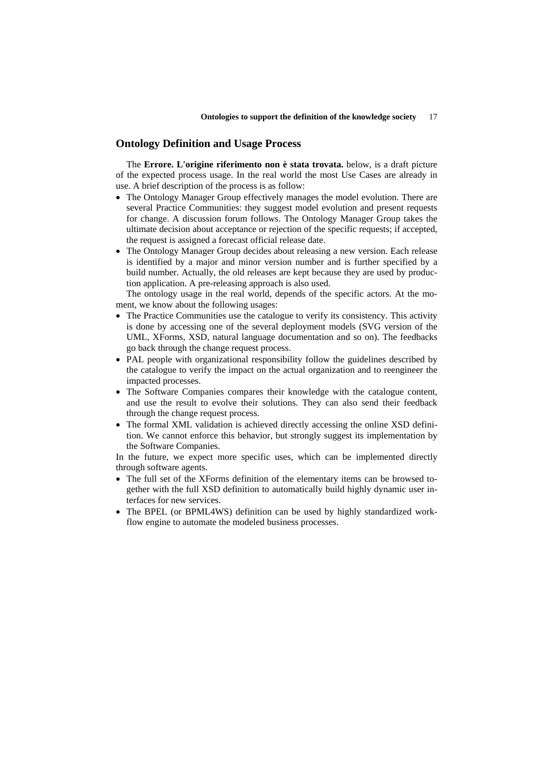#### **Ontology Definition and Usage Process**

The **Errore. L'origine riferimento non è stata trovata.** below, is a draft picture of the expected process usage. In the real world the most Use Cases are already in use. A brief description of the process is as follow:

- The Ontology Manager Group effectively manages the model evolution. There are several Practice Communities: they suggest model evolution and present requests for change. A discussion forum follows. The Ontology Manager Group takes the ultimate decision about acceptance or rejection of the specific requests; if accepted, the request is assigned a forecast official release date.
- The Ontology Manager Group decides about releasing a new version. Each release is identified by a major and minor version number and is further specified by a build number. Actually, the old releases are kept because they are used by production application. A pre-releasing approach is also used.

The ontology usage in the real world, depends of the specific actors. At the moment, we know about the following usages:

- The Practice Communities use the catalogue to verify its consistency. This activity is done by accessing one of the several deployment models (SVG version of the UML, XForms, XSD, natural language documentation and so on). The feedbacks go back through the change request process.
- PAL people with organizational responsibility follow the guidelines described by the catalogue to verify the impact on the actual organization and to reengineer the impacted processes.
- The Software Companies compares their knowledge with the catalogue content, and use the result to evolve their solutions. They can also send their feedback through the change request process.
- The formal XML validation is achieved directly accessing the online XSD definition. We cannot enforce this behavior, but strongly suggest its implementation by the Software Companies.

In the future, we expect more specific uses, which can be implemented directly through software agents.

- The full set of the XForms definition of the elementary items can be browsed together with the full XSD definition to automatically build highly dynamic user interfaces for new services.
- The BPEL (or BPML4WS) definition can be used by highly standardized workflow engine to automate the modeled business processes.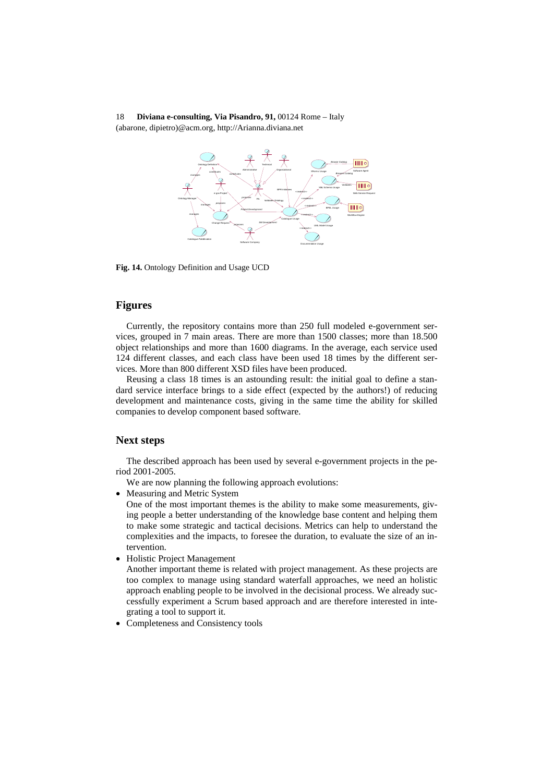

**Fig. 14.** Ontology Definition and Usage UCD

# **Figures**

Currently, the repository contains more than 250 full modeled e-government services, grouped in 7 main areas. There are more than 1500 classes; more than 18.500 object relationships and more than 1600 diagrams. In the average, each service used 124 different classes, and each class have been used 18 times by the different services. More than 800 different XSD files have been produced.

Reusing a class 18 times is an astounding result: the initial goal to define a standard service interface brings to a side effect (expected by the authors!) of reducing development and maintenance costs, giving in the same time the ability for skilled companies to develop component based software.

#### **Next steps**

The described approach has been used by several e-government projects in the period 2001-2005.

We are now planning the following approach evolutions:

• Measuring and Metric System

One of the most important themes is the ability to make some measurements, giving people a better understanding of the knowledge base content and helping them to make some strategic and tactical decisions. Metrics can help to understand the complexities and the impacts, to foresee the duration, to evaluate the size of an intervention.

• Holistic Project Management

Another important theme is related with project management. As these projects are too complex to manage using standard waterfall approaches, we need an holistic approach enabling people to be involved in the decisional process. We already successfully experiment a Scrum based approach and are therefore interested in integrating a tool to support it.

• Completeness and Consistency tools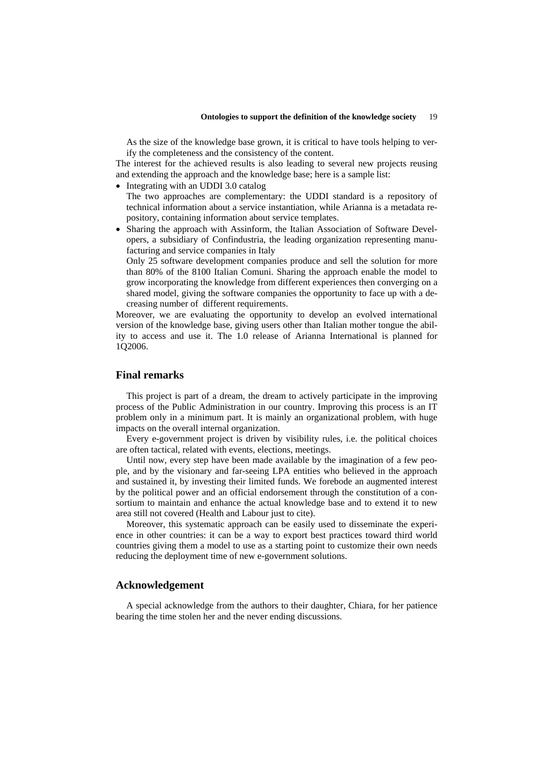As the size of the knowledge base grown, it is critical to have tools helping to verify the completeness and the consistency of the content.

The interest for the achieved results is also leading to several new projects reusing and extending the approach and the knowledge base; here is a sample list:

- Integrating with an UDDI 3.0 catalog
- The two approaches are complementary: the UDDI standard is a repository of technical information about a service instantiation, while Arianna is a metadata repository, containing information about service templates.
- Sharing the approach with Assinform, the Italian Association of Software Developers, a subsidiary of Confindustria, the leading organization representing manufacturing and service companies in Italy

Only 25 software development companies produce and sell the solution for more than 80% of the 8100 Italian Comuni. Sharing the approach enable the model to grow incorporating the knowledge from different experiences then converging on a shared model, giving the software companies the opportunity to face up with a decreasing number of different requirements.

Moreover, we are evaluating the opportunity to develop an evolved international version of the knowledge base, giving users other than Italian mother tongue the ability to access and use it. The 1.0 release of Arianna International is planned for 1Q2006.

#### **Final remarks**

This project is part of a dream, the dream to actively participate in the improving process of the Public Administration in our country. Improving this process is an IT problem only in a minimum part. It is mainly an organizational problem, with huge impacts on the overall internal organization.

Every e-government project is driven by visibility rules, i.e. the political choices are often tactical, related with events, elections, meetings.

Until now, every step have been made available by the imagination of a few people, and by the visionary and far-seeing LPA entities who believed in the approach and sustained it, by investing their limited funds. We forebode an augmented interest by the political power and an official endorsement through the constitution of a consortium to maintain and enhance the actual knowledge base and to extend it to new area still not covered (Health and Labour just to cite).

Moreover, this systematic approach can be easily used to disseminate the experience in other countries: it can be a way to export best practices toward third world countries giving them a model to use as a starting point to customize their own needs reducing the deployment time of new e-government solutions.

# **Acknowledgement**

A special acknowledge from the authors to their daughter, Chiara, for her patience bearing the time stolen her and the never ending discussions.